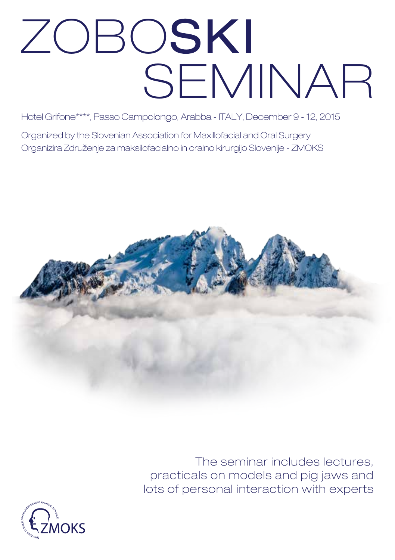# ZOBOSKI SEMINAR

Hotel Grifone\*\*\*\*, Passo Campolongo, Arabba - ITALY, December 9 - 12, 2015

Organized by the Slovenian Association for Maxillofacial and Oral Surgery Organizira Združenje za maksilofacialno in oralno kirurgijo Slovenije - ZMOKS



The seminar includes lectures, practicals on models and pig jaws and lots of personal interaction with experts

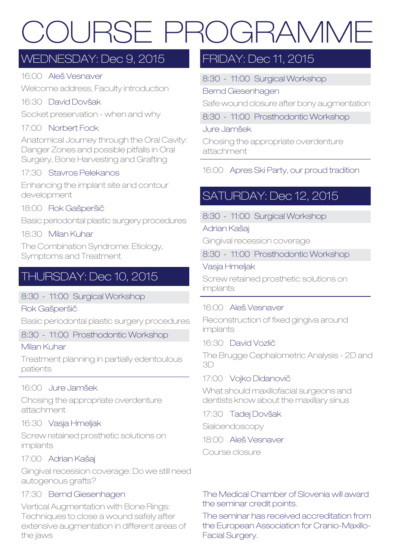# COURSE PROGRAMME

### Wednesday: Dec 9, 2015

#### 16:00 Aleš Vesnaver

Welcome address, Faculty introduction

#### 16:30 David Dovšak

Socket preservation - when and why

#### 17:00 Norbert Fock

Anatomical Journey through the Oral Cavity: Danger Zones and possible pitfalls in Oral Surgery, Bone Harvesting and Grafting

#### 17:30 Stavros Pelekanos

Enhancing the implant site and contour development

#### 18:00 Rok Gašperšič

Basic periodontal plastic surgery procedures

#### 18:30 Milan Kuhar

The Combination Syndrome: Etiology, Symptoms and Treatment

### THURSDAY: Dec 10, 2015

#### 8:30 - 11:00 Surgical Workshop

#### Rok Gašperšič

Basic periodontal plastic surgery procedures

#### 8:30 - 11:00 Prosthodontic Workshop

#### Milan Kuhar

Treatment planning in partially edentoulous patients

#### 16:00 Jure Jamšek

Chosing the appropriate overdenture attachment

#### 16:30 Vasja Hmeljak

Screw retained prosthetic solutions on implants

#### 17:00 Adrian Kašaj

Gingival recession coverage: Do we still need autogenous grafts?

#### 17:30 Bernd Giesenhagen

Vertical Augmentation with Bone Rings: Techniques to close a wound safely after extensive augmentation in different areas of the jaws

### FRIDAY: Dec 11, 2015

8:30 - 11:00 Surgical Workshop

#### Bernd Giesenhagen

Safe wound closure after bony augmentation

8:30 - 11:00 Prosthodontic Workshop

#### Jure Jamšek

Chosing the appropriate overdenture attachment

#### 16:00 Apres Ski Party, our proud tradition

### SATURDAY: Dec 12, 2015

8:30 - 11:00 Surgical Workshop

#### Adrian Kašaj

Gingival recession coverage

8:30 - 11:00 Prosthodontic Workshop

#### Vasja Hmeljak

Screw retained prosthetic solutions on implants

#### 16:00 Aleš Vesnaver

Reconstruction of fixed gingiva around implants

#### 16:30 David Vozlič

The Brugge Cephalometric Analysis - 2D and 3D

#### 17:00 Vojko Didanovič

What should maxillofacial surgeons and dentists know about the maxillary sinus

17:30 Tadej Dovšak Sialoendoscopy

18:00 Aleš Vesnaver Course closure

#### The Medical Chamber of Slovenia will award the seminar credit points.

The seminar has received accreditation from the European Association for Cranio-Maxillo-Facial Surgery.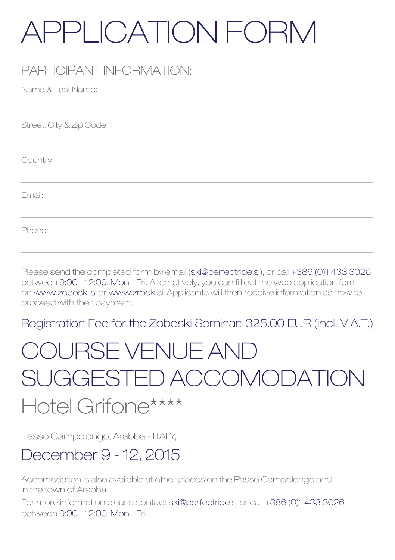# APPLICATION FORM

## PARTICIPANT INFORMATION:

Name & Last Name:

Street, City & Zip Code:

Country:

Email:

Phone:

Please send the completed form by email (ski@perfectride.si), or call +386 (0)1 433 3026 between 9:00 - 12:00, Mon - Fri. Alternatively, you can fill out the web application form on www.zoboski.si or www.zmok.si. Applicants will then receive information as how to proceed with their payment.

Registration Fee for the Zoboski Seminar: 325.00 EUR (incl. V.A.T.)

# COURSE VENUE AND SUGGESTED ACCOMODATION

# Hotel Grifone\*\*\*\*

Passo Campolongo, Arabba - ITALY,

# December 9 - 12, 2015

Accomodation is also available at other places on the Passo Campolongo and in the town of Arabba.

For more information please contact ski@perfectride.si or call +386 (0)1 433 3026 between 9:00 - 12:00, Mon - Fri.